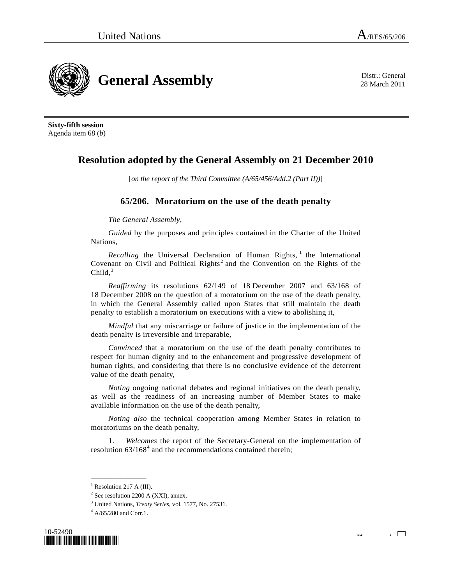

28 March 2011

**Sixty-fifth session**  Agenda item 68 (*b*)

## **Resolution adopted by the General Assembly on 21 December 2010**

[*on the report of the Third Committee (A/65/456/Add.2 (Part II))*]

## **65/206. Moratorium on the use of the death penalty**

*The General Assembly*,

*Guided* by the purposes and principles contained in the Charter of the United Nations,

*Recalling* the Universal Declaration of Human Rights,  $\frac{1}{1}$  $\frac{1}{1}$  $\frac{1}{1}$  the International Covenant on Civil and Political Rights<sup>[2](#page-0-1)</sup> and the Convention on the Rights of the Child, $3$ 

*Reaffirming* its resolutions 62/149 of 18 December 2007 and 63/168 of 18 December 2008 on the question of a moratorium on the use of the death penalty, in which the General Assembly called upon States that still maintain the death penalty to establish a moratorium on executions with a view to abolishing it,

*Mindful* that any miscarriage or failure of justice in the implementation of the death penalty is irreversible and irreparable,

*Convinced* that a moratorium on the use of the death penalty contributes to respect for human dignity and to the enhancement and progressive development of human rights, and considering that there is no conclusive evidence of the deterrent value of the death penalty,

*Noting* ongoing national debates and regional initiatives on the death penalty, as well as the readiness of an increasing number of Member States to make available information on the use of the death penalty,

*Noting also* the technical cooperation among Member States in relation to moratoriums on the death penalty,

 1. *Welcomes* the report of the Secretary-General on the implementation of resolution  $63/168<sup>4</sup>$  $63/168<sup>4</sup>$  $63/168<sup>4</sup>$  and the recommendations contained therein;

<span id="page-0-3"></span><span id="page-0-2"></span><span id="page-0-1"></span><span id="page-0-0"></span> $^{4}$  A/65/280 and Corr.1.



**\_\_\_\_\_\_\_\_\_\_\_\_\_\_\_**   $<sup>1</sup>$  Resolution 217 A (III).</sup>

 $2^2$  See resolution 2200 A (XXI), annex.

<sup>&</sup>lt;sup>3</sup> United Nations, *Treaty Series*, vol. 1577, No. 27531.